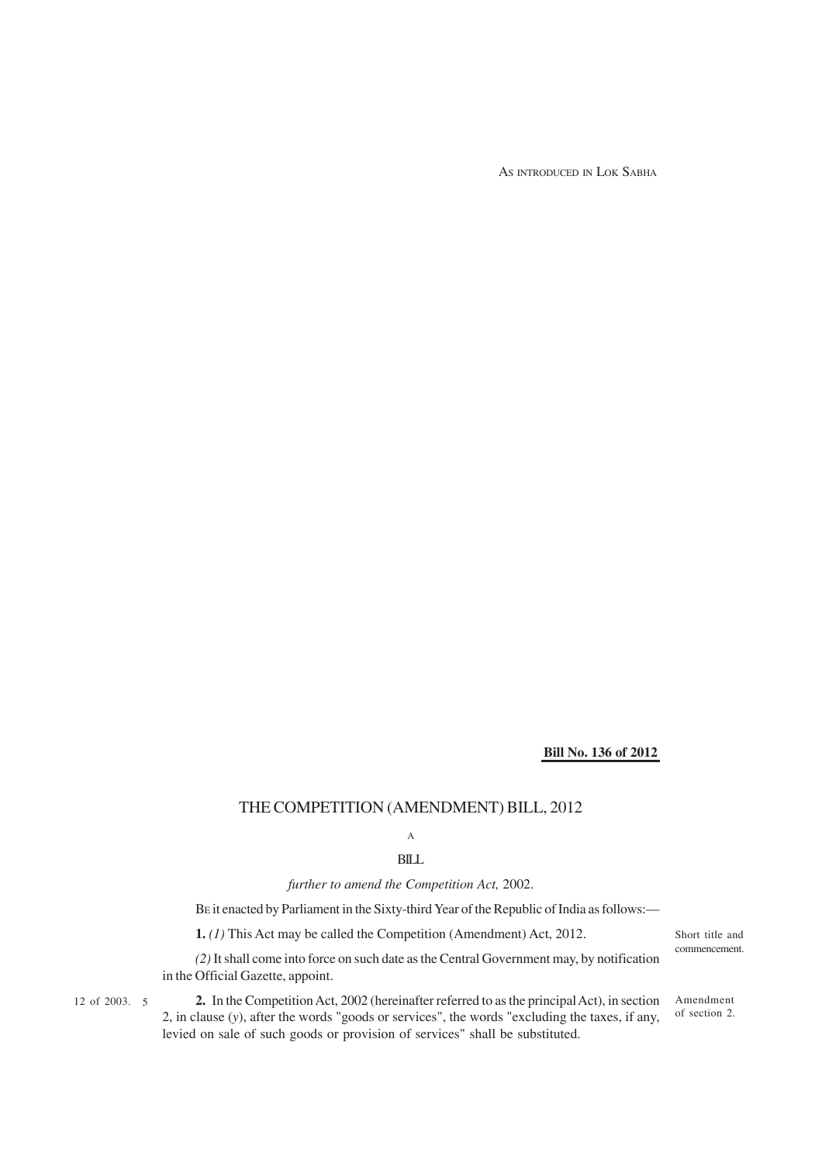AS INTRODUCED IN LOK SABHA

### **Bill No. 136 of 2012**

## THE COMPETITION (AMENDMENT) BILL, 2012

## A

## BILL

*further to amend the Competition Act,* 2002.

BE it enacted by Parliament in the Sixty-third Year of the Republic of India as follows:—

**1.** *(1)* This Act may be called the Competition (Amendment) Act, 2012.

*(2)* It shall come into force on such date as the Central Government may, by notification in the Official Gazette, appoint.

12 of 2003. 5

**2.** In the Competition Act, 2002 (hereinafter referred to as the principal Act), in section 2, in clause (*y*), after the words "goods or services", the words "excluding the taxes, if any, levied on sale of such goods or provision of services" shall be substituted.

Short title and commencement.

Amendment of section 2.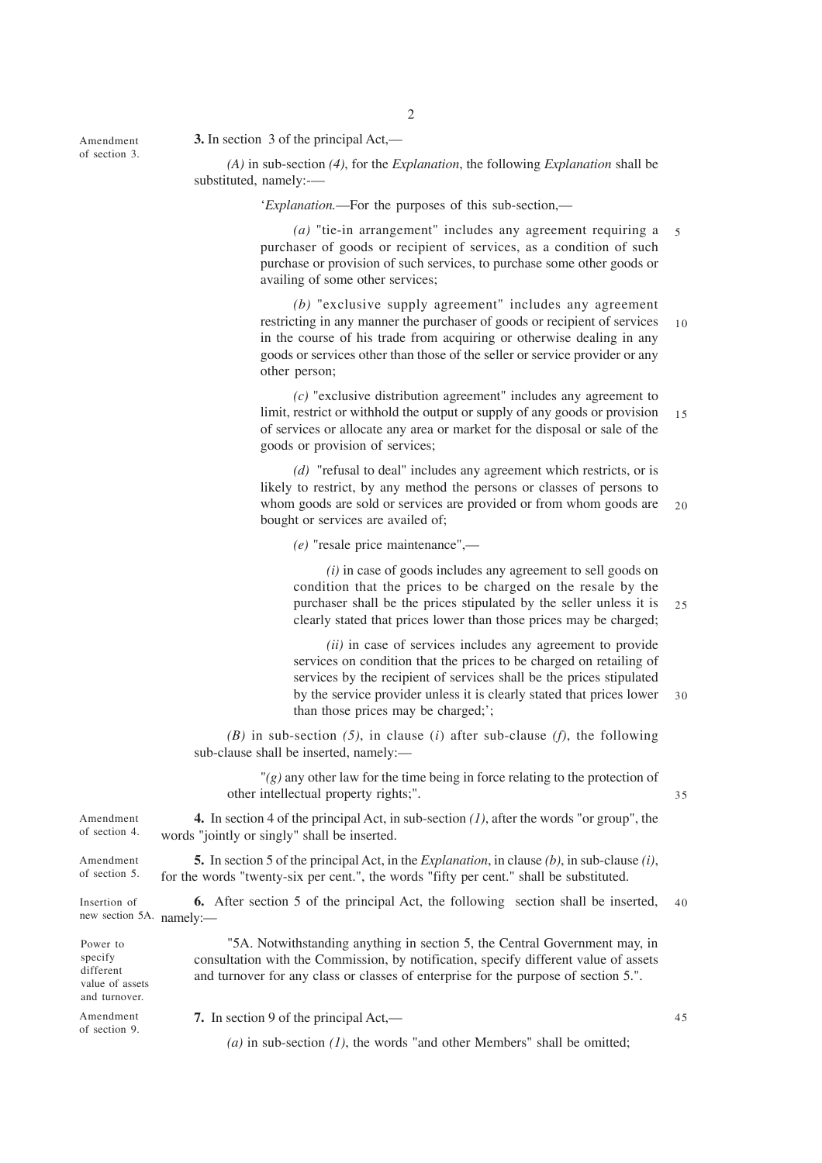Amendment of section 3. **3.** In section 3 of the principal Act,—

*(A)* in sub-section *(4)*, for the *Explanation*, the following *Explanation* shall be substituted, namely:-—

'*Explanation.*—For the purposes of this sub-section,—

*(a)* "tie-in arrangement" includes any agreement requiring a purchaser of goods or recipient of services, as a condition of such purchase or provision of such services, to purchase some other goods or availing of some other services; 5

*(b)* "exclusive supply agreement" includes any agreement restricting in any manner the purchaser of goods or recipient of services in the course of his trade from acquiring or otherwise dealing in any goods or services other than those of the seller or service provider or any other person; 10

*(c)* "exclusive distribution agreement" includes any agreement to limit, restrict or withhold the output or supply of any goods or provision of services or allocate any area or market for the disposal or sale of the goods or provision of services; 15

*(d)* "refusal to deal" includes any agreement which restricts, or is likely to restrict, by any method the persons or classes of persons to whom goods are sold or services are provided or from whom goods are bought or services are availed of;  $20$ 

*(e)* "resale price maintenance",—

*(i)* in case of goods includes any agreement to sell goods on condition that the prices to be charged on the resale by the purchaser shall be the prices stipulated by the seller unless it is clearly stated that prices lower than those prices may be charged; 25

*(ii)* in case of services includes any agreement to provide services on condition that the prices to be charged on retailing of services by the recipient of services shall be the prices stipulated by the service provider unless it is clearly stated that prices lower than those prices may be charged;'; 30

*(B)* in sub-section *(5)*, in clause (*i*) after sub-clause *(f)*, the following sub-clause shall be inserted, namely:—

**4.** In section 4 of the principal Act, in sub-section *(1)*, after the words "or group", the

"*(g)* any other law for the time being in force relating to the protection of other intellectual property rights;".

35

45

Amendment of section 4.

of section 5.

Power to specify different value of assets

words "jointly or singly" shall be inserted. **5.** In section 5 of the principal Act, in the *Explanation*, in clause *(b)*, in sub-clause *(i)*, Amendment

for the words "twenty-six per cent.", the words "fifty per cent." shall be substituted.

**6.** After section 5 of the principal Act, the following section shall be inserted, new section 5A. namely:-Insertion of 40

> "5A. Notwithstanding anything in section 5, the Central Government may, in consultation with the Commission, by notification, specify different value of assets and turnover for any class or classes of enterprise for the purpose of section 5.".

and turnover. Amendment of section 9.

**7.** In section 9 of the principal Act,—

*(a)* in sub-section *(1)*, the words "and other Members" shall be omitted;

2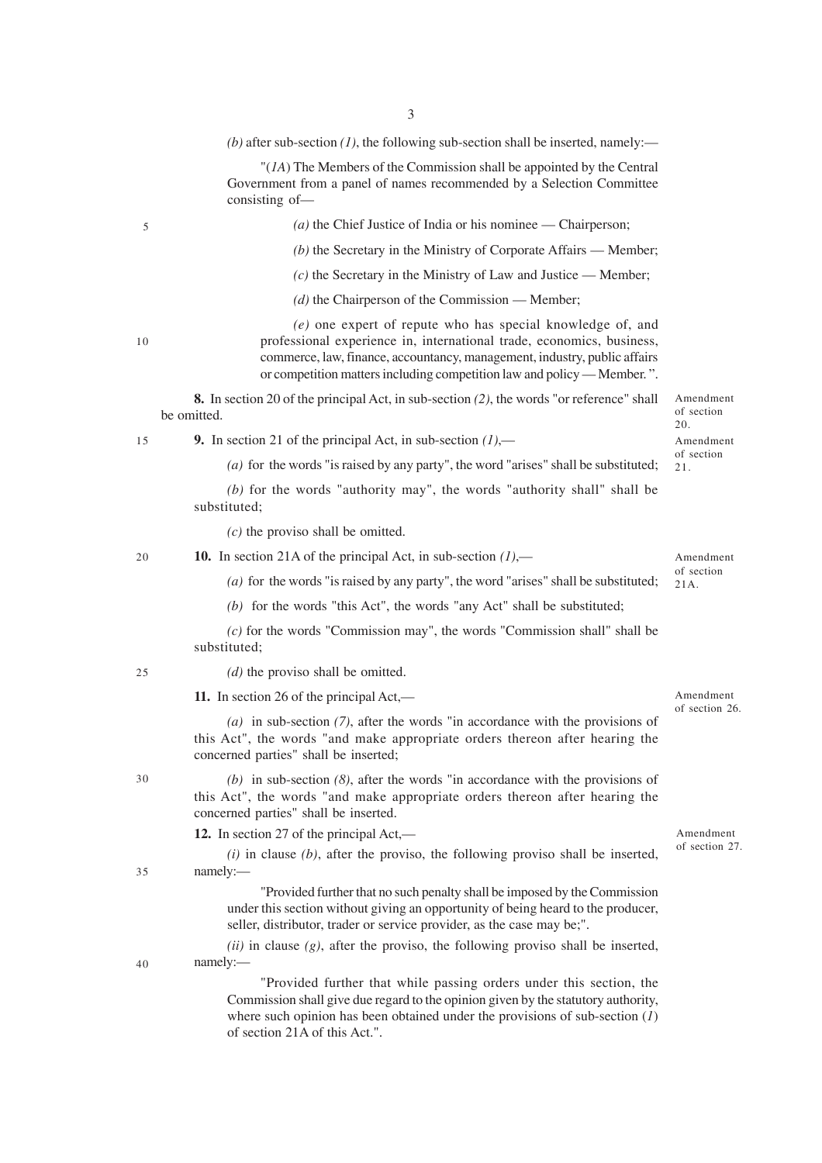*(b)* after sub-section *(1)*, the following sub-section shall be inserted, namely:—

"(*1A*) The Members of the Commission shall be appointed by the Central Government from a panel of names recommended by a Selection Committee consisting of—

*(a)* the Chief Justice of India or his nominee — Chairperson;

*(b)* the Secretary in the Ministry of Corporate Affairs — Member;

*(c)* the Secretary in the Ministry of Law and Justice — Member;

*(d)* the Chairperson of the Commission — Member;

*(e)* one expert of repute who has special knowledge of, and professional experience in, international trade, economics, business, commerce, law, finance, accountancy, management, industry, public affairs or competition matters including competition law and policy — Member. ".

**8.** In section 20 of the principal Act, in sub-section *(2)*, the words "or reference" shall be omitted.

**9.** In section 21 of the principal Act, in sub-section *(1)*,— 15

*(a)* for the words "is raised by any party", the word "arises" shall be substituted;

*(b)* for the words "authority may", the words "authority shall" shall be substituted;

*(c)* the proviso shall be omitted.

**10.** In section 21A of the principal Act, in sub-section *(1)*,—  $20$ 

*(a)* for the words "is raised by any party", the word "arises" shall be substituted;

*(b)* for the words "this Act", the words "any Act" shall be substituted;

*(c)* for the words "Commission may", the words "Commission shall" shall be substituted;

*(d)* the proviso shall be omitted.

**11.** In section 26 of the principal Act,—

*(a)* in sub-section *(7)*, after the words "in accordance with the provisions of this Act", the words "and make appropriate orders thereon after hearing the concerned parties" shall be inserted;

*(b)* in sub-section *(8)*, after the words "in accordance with the provisions of this Act", the words "and make appropriate orders thereon after hearing the concerned parties" shall be inserted.

**12.** In section 27 of the principal Act,—

*(i)* in clause *(b)*, after the proviso, the following proviso shall be inserted, namely:—

"Provided further that no such penalty shall be imposed by the Commission under this section without giving an opportunity of being heard to the producer, seller, distributor, trader or service provider, as the case may be;".

*(ii)* in clause *(g)*, after the proviso, the following proviso shall be inserted, namely:— 40

> "Provided further that while passing orders under this section, the Commission shall give due regard to the opinion given by the statutory authority, where such opinion has been obtained under the provisions of sub-section (*1*) of section 21A of this Act.".

Amendment

Amendment of section 26.

of section 27.

Amendment of section  $20<sub>0</sub>$ Amendment of section 21.

Amendment of section 21A.

10

5

 $25$ 

30

35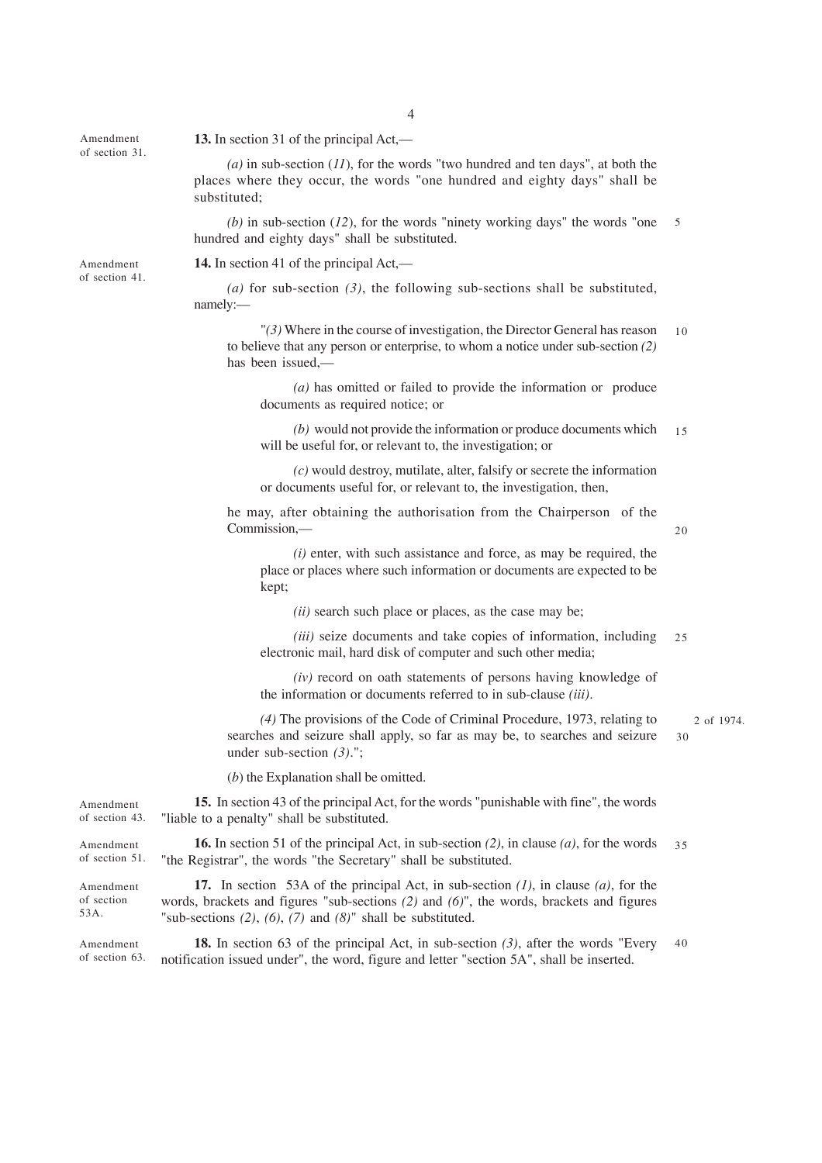Amendment of section 31.

Amendment of section 41.

of section 53A.

**13.** In section 31 of the principal Act,—

*(a)* in sub-section (*11*), for the words "two hundred and ten days", at both the places where they occur, the words "one hundred and eighty days" shall be substituted;

*(b)* in sub-section (*12*), for the words "ninety working days" the words "one hundred and eighty days" shall be substituted. 5

**14.** In section 41 of the principal Act,—

*(a)* for sub-section *(3)*, the following sub-sections shall be substituted, namely:—

"*(3)* Where in the course of investigation, the Director General has reason to believe that any person or enterprise, to whom a notice under sub-section *(2)* has been issued,—  $1<sub>0</sub>$ 

*(a)* has omitted or failed to provide the information or produce documents as required notice; or

*(b)* would not provide the information or produce documents which will be useful for, or relevant to, the investigation; or 15

*(c)* would destroy, mutilate, alter, falsify or secrete the information or documents useful for, or relevant to, the investigation, then,

he may, after obtaining the authorisation from the Chairperson of the Commission,—

20

*(i)* enter, with such assistance and force, as may be required, the place or places where such information or documents are expected to be kept;

*(ii)* search such place or places, as the case may be;

*(iii)* seize documents and take copies of information, including electronic mail, hard disk of computer and such other media;  $25$ 

*(iv)* record on oath statements of persons having knowledge of the information or documents referred to in sub-clause *(iii)*.

*(4)* The provisions of the Code of Criminal Procedure, 1973, relating to searches and seizure shall apply, so far as may be, to searches and seizure under sub-section *(3)*."; 2 of 1974.  $30$ 

(*b*) the Explanation shall be omitted.

**15.** In section 43 of the principal Act, for the words "punishable with fine", the words "liable to a penalty" shall be substituted. Amendment of section 43.

**16.** In section 51 of the principal Act, in sub-section *(2)*, in clause *(a)*, for the words "the Registrar", the words "the Secretary" shall be substituted. Amendment of section 51. 35

**17.** In section 53A of the principal Act, in sub-section *(1)*, in clause *(a)*, for the words, brackets and figures "sub-sections *(2)* and *(6)*", the words, brackets and figures "sub-sections *(2)*, *(6)*, *(7)* and *(8)*" shall be substituted. Amendment

**18.** In section 63 of the principal Act, in sub-section *(3)*, after the words "Every notification issued under", the word, figure and letter "section 5A", shall be inserted. Amendment of section 63. 40

4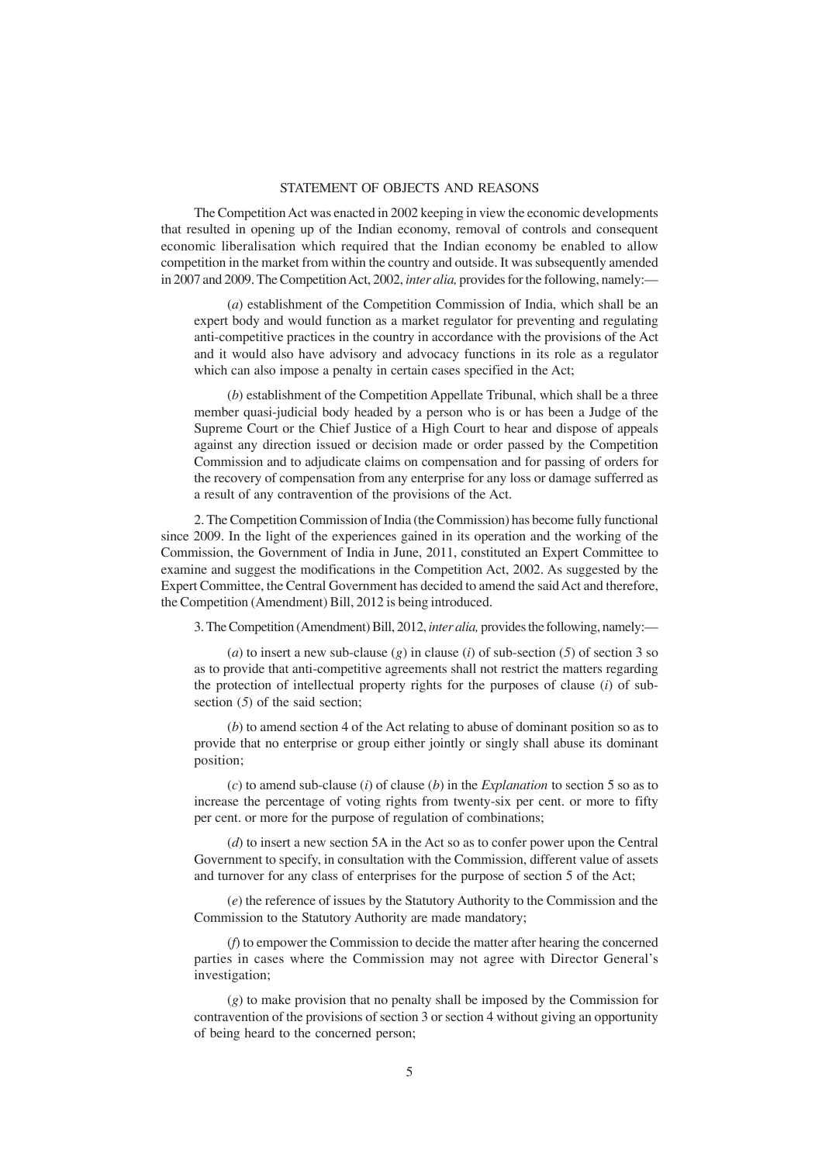## STATEMENT OF OBJECTS AND REASONS

The Competition Act was enacted in 2002 keeping in view the economic developments that resulted in opening up of the Indian economy, removal of controls and consequent economic liberalisation which required that the Indian economy be enabled to allow competition in the market from within the country and outside. It was subsequently amended in 2007 and 2009. The Competition Act, 2002, *inter alia,* provides for the following, namely:—

(*a*) establishment of the Competition Commission of India, which shall be an expert body and would function as a market regulator for preventing and regulating anti-competitive practices in the country in accordance with the provisions of the Act and it would also have advisory and advocacy functions in its role as a regulator which can also impose a penalty in certain cases specified in the Act;

(*b*) establishment of the Competition Appellate Tribunal, which shall be a three member quasi-judicial body headed by a person who is or has been a Judge of the Supreme Court or the Chief Justice of a High Court to hear and dispose of appeals against any direction issued or decision made or order passed by the Competition Commission and to adjudicate claims on compensation and for passing of orders for the recovery of compensation from any enterprise for any loss or damage sufferred as a result of any contravention of the provisions of the Act.

2. The Competition Commission of India (the Commission) has become fully functional since 2009. In the light of the experiences gained in its operation and the working of the Commission, the Government of India in June, 2011, constituted an Expert Committee to examine and suggest the modifications in the Competition Act, 2002. As suggested by the Expert Committee, the Central Government has decided to amend the said Act and therefore, the Competition (Amendment) Bill, 2012 is being introduced.

3. The Competition (Amendment) Bill, 2012, *inter alia,* provides the following, namely:—

(*a*) to insert a new sub-clause (*g*) in clause (*i*) of sub-section (*5*) of section 3 so as to provide that anti-competitive agreements shall not restrict the matters regarding the protection of intellectual property rights for the purposes of clause (*i*) of subsection (*5*) of the said section;

(*b*) to amend section 4 of the Act relating to abuse of dominant position so as to provide that no enterprise or group either jointly or singly shall abuse its dominant position;

(*c*) to amend sub-clause (*i*) of clause (*b*) in the *Explanation* to section 5 so as to increase the percentage of voting rights from twenty-six per cent. or more to fifty per cent. or more for the purpose of regulation of combinations;

(*d*) to insert a new section 5A in the Act so as to confer power upon the Central Government to specify, in consultation with the Commission, different value of assets and turnover for any class of enterprises for the purpose of section 5 of the Act;

(*e*) the reference of issues by the Statutory Authority to the Commission and the Commission to the Statutory Authority are made mandatory;

(*f*) to empower the Commission to decide the matter after hearing the concerned parties in cases where the Commission may not agree with Director General's investigation;

(*g*) to make provision that no penalty shall be imposed by the Commission for contravention of the provisions of section 3 or section 4 without giving an opportunity of being heard to the concerned person;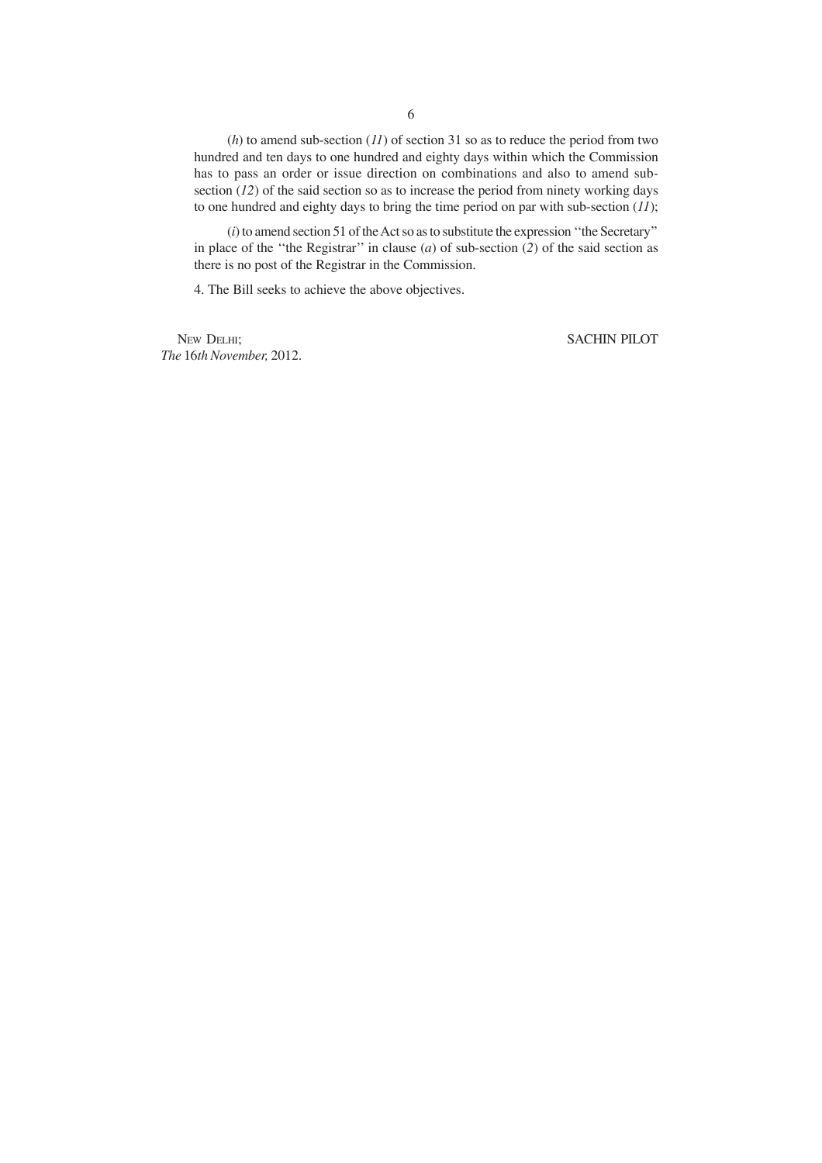(*h*) to amend sub-section (*11*) of section 31 so as to reduce the period from two hundred and ten days to one hundred and eighty days within which the Commission has to pass an order or issue direction on combinations and also to amend subsection  $(12)$  of the said section so as to increase the period from ninety working days to one hundred and eighty days to bring the time period on par with sub-section (*11*);

(*i*) to amend section 51 of the Act so as to substitute the expression ''the Secretary'' in place of the ''the Registrar'' in clause (*a*) of sub-section (*2*) of the said section as there is no post of the Registrar in the Commission.

4. The Bill seeks to achieve the above objectives.

NEW DELHI; SACHIN PILOT *The* 16*th November,* 2012.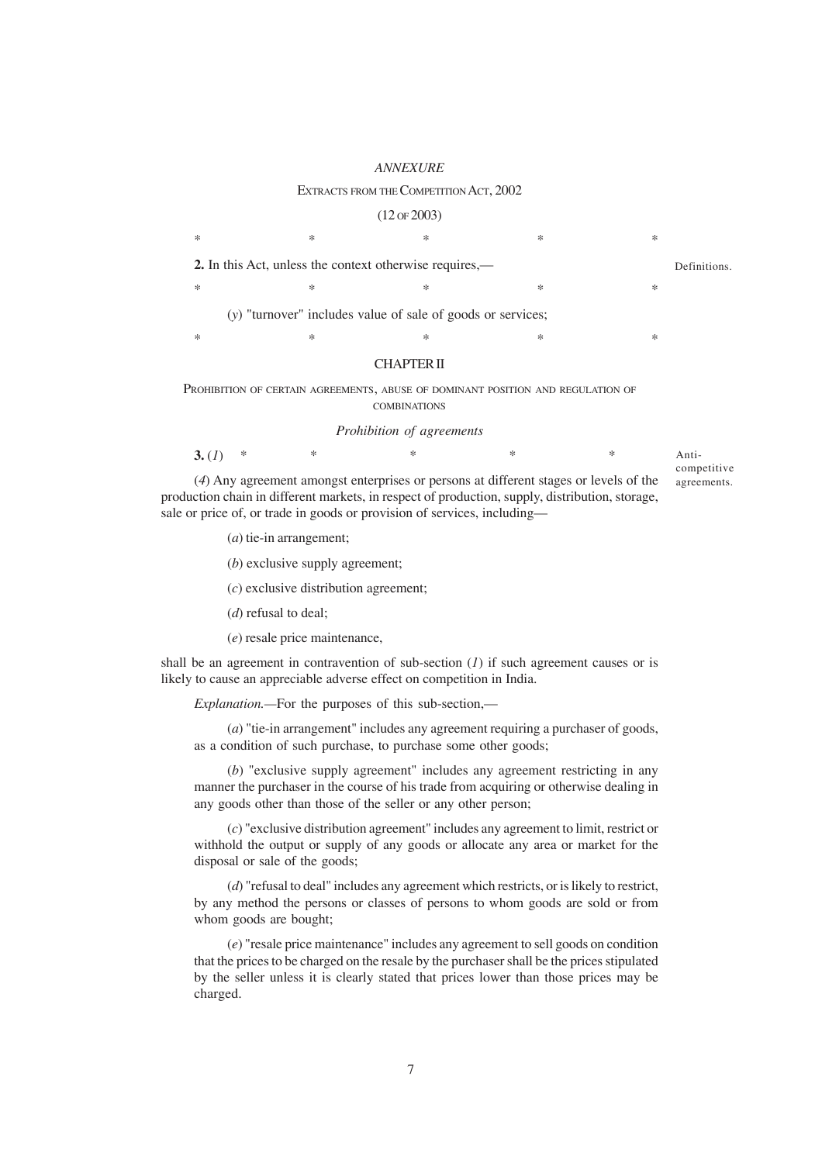## *ANNEXURE*

## EXTRACTS FROM THE COMPETITION ACT, 2002

# (12 OF 2003)

| $\ast$                                                      | * | ∗ | ∗ | $\ast$ |  |  |  |
|-------------------------------------------------------------|---|---|---|--------|--|--|--|
| 2. In this Act, unless the context otherwise requires,—     |   |   |   |        |  |  |  |
| $\ast$                                                      | * |   | * | ∗      |  |  |  |
| (y) "turnover" includes value of sale of goods or services; |   |   |   |        |  |  |  |
| $\ast$                                                      | ∗ | ∗ | ∗ | ∗      |  |  |  |

### CHAPTER II

PROHIBITION OF CERTAIN AGREEMENTS, ABUSE OF DOMINANT POSITION AND REGULATION OF **COMBINATIONS** 

*Prohibition of agreements*

| 3. $(I)$ *                                                                                      |  | $\ast$ |                                                                                       | Anti-                      |
|-------------------------------------------------------------------------------------------------|--|--------|---------------------------------------------------------------------------------------|----------------------------|
|                                                                                                 |  |        | (4) Any agreement amongst enterprises or persons at different stages or levels of the | competitive<br>agreements. |
| production chain in different markets, in respect of production, supply, distribution, storage, |  |        |                                                                                       |                            |

- (*a*) tie-in arrangement;
- (*b*) exclusive supply agreement;
- (*c*) exclusive distribution agreement;

sale or price of, or trade in goods or provision of services, including—

- (*d*) refusal to deal;
- (*e*) resale price maintenance,

shall be an agreement in contravention of sub-section  $(I)$  if such agreement causes or is likely to cause an appreciable adverse effect on competition in India.

*Explanation.—*For the purposes of this sub-section,—

(*a*) "tie-in arrangement" includes any agreement requiring a purchaser of goods, as a condition of such purchase, to purchase some other goods;

(*b*) "exclusive supply agreement" includes any agreement restricting in any manner the purchaser in the course of his trade from acquiring or otherwise dealing in any goods other than those of the seller or any other person;

(*c*) "exclusive distribution agreement" includes any agreement to limit, restrict or withhold the output or supply of any goods or allocate any area or market for the disposal or sale of the goods;

(*d*) "refusal to deal" includes any agreement which restricts, or is likely to restrict, by any method the persons or classes of persons to whom goods are sold or from whom goods are bought;

(*e*) "resale price maintenance" includes any agreement to sell goods on condition that the prices to be charged on the resale by the purchaser shall be the prices stipulated by the seller unless it is clearly stated that prices lower than those prices may be charged.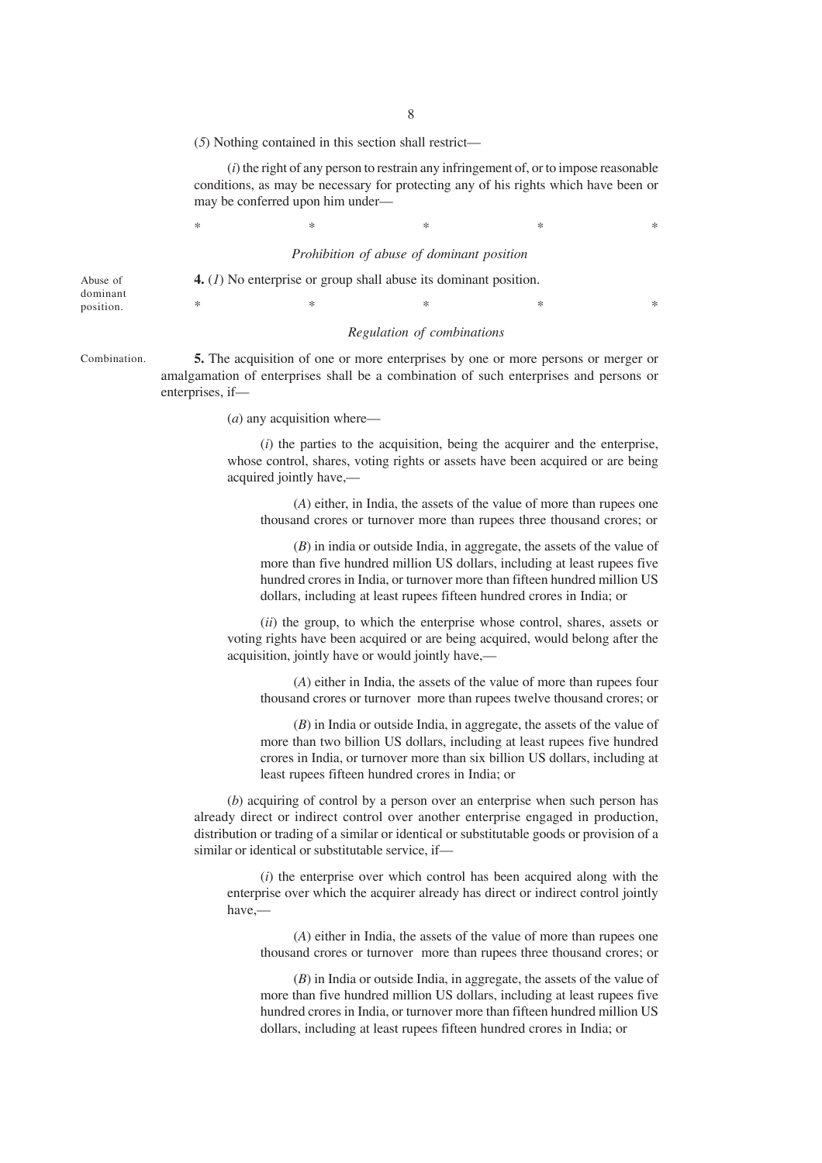8

(*5*) Nothing contained in this section shall restrict—

(*i*) the right of any person to restrain any infringement of, or to impose reasonable conditions, as may be necessary for protecting any of his rights which have been or may be conferred upon him under—

|  |                                                                         | ∗ | ∗ |
|--|-------------------------------------------------------------------------|---|---|
|  | Prohibition of abuse of dominant position                               |   |   |
|  | <b>4.</b> (1) No enterprise or group shall abuse its dominant position. |   |   |

Abuse of dominant position.

# $*$  \*  $*$  \*  $*$  \*  $*$  \* *Regulation of combinations*

**5.** The acquisition of one or more enterprises by one or more persons or merger or amalgamation of enterprises shall be a combination of such enterprises and persons or enterprises, if— Combination.

(*a*) any acquisition where—

(*i*) the parties to the acquisition, being the acquirer and the enterprise, whose control, shares, voting rights or assets have been acquired or are being acquired jointly have,—

(*A*) either, in India, the assets of the value of more than rupees one thousand crores or turnover more than rupees three thousand crores; or

(*B*) in india or outside India, in aggregate, the assets of the value of more than five hundred million US dollars, including at least rupees five hundred crores in India, or turnover more than fifteen hundred million US dollars, including at least rupees fifteen hundred crores in India; or

(*ii*) the group, to which the enterprise whose control, shares, assets or voting rights have been acquired or are being acquired, would belong after the acquisition, jointly have or would jointly have,—

(*A*) either in India, the assets of the value of more than rupees four thousand crores or turnover more than rupees twelve thousand crores; or

(*B*) in India or outside India, in aggregate, the assets of the value of more than two billion US dollars, including at least rupees five hundred crores in India, or turnover more than six billion US dollars, including at least rupees fifteen hundred crores in India; or

(*b*) acquiring of control by a person over an enterprise when such person has already direct or indirect control over another enterprise engaged in production, distribution or trading of a similar or identical or substitutable goods or provision of a similar or identical or substitutable service, if—

(*i*) the enterprise over which control has been acquired along with the enterprise over which the acquirer already has direct or indirect control jointly have,—

(*A*) either in India, the assets of the value of more than rupees one thousand crores or turnover more than rupees three thousand crores; or

(*B*) in India or outside India, in aggregate, the assets of the value of more than five hundred million US dollars, including at least rupees five hundred crores in India, or turnover more than fifteen hundred million US dollars, including at least rupees fifteen hundred crores in India; or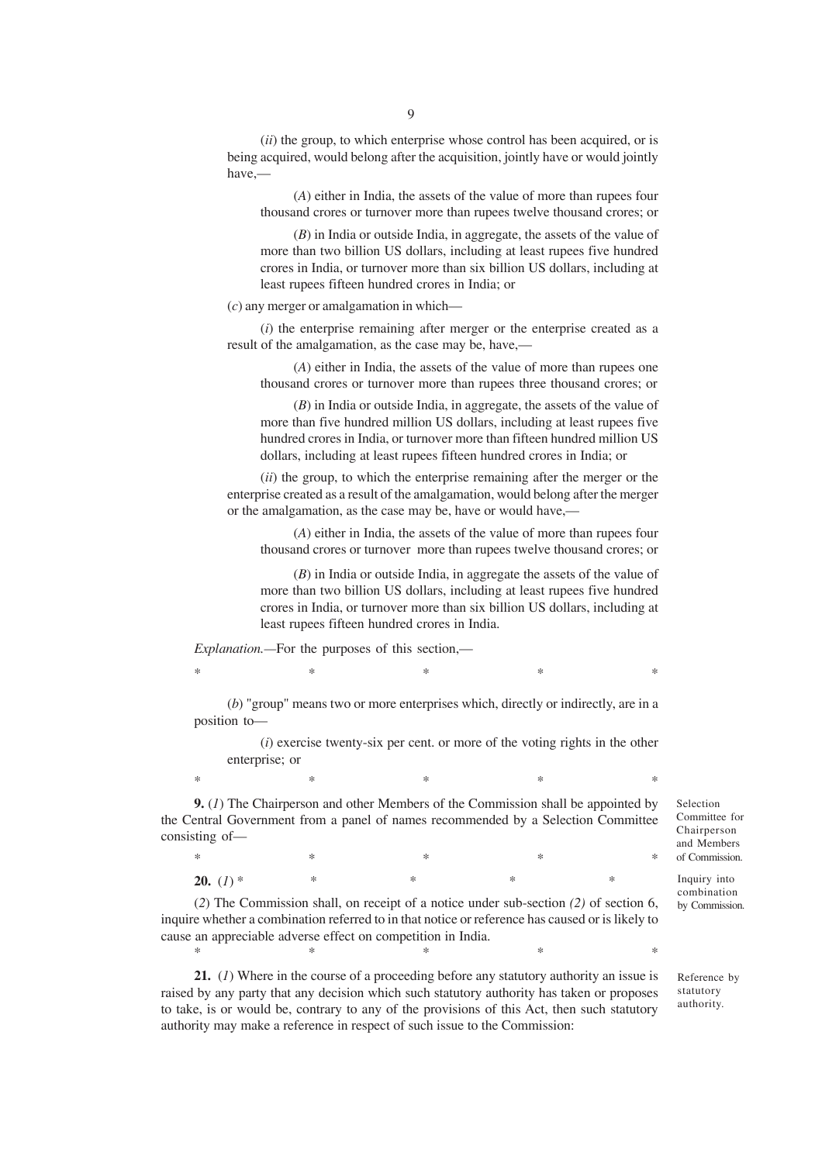(*ii*) the group, to which enterprise whose control has been acquired, or is being acquired, would belong after the acquisition, jointly have or would jointly have,—

(*A*) either in India, the assets of the value of more than rupees four thousand crores or turnover more than rupees twelve thousand crores; or

(*B*) in India or outside India, in aggregate, the assets of the value of more than two billion US dollars, including at least rupees five hundred crores in India, or turnover more than six billion US dollars, including at least rupees fifteen hundred crores in India; or

(*c*) any merger or amalgamation in which—

(*i*) the enterprise remaining after merger or the enterprise created as a result of the amalgamation, as the case may be, have,—

(*A*) either in India, the assets of the value of more than rupees one thousand crores or turnover more than rupees three thousand crores; or

(*B*) in India or outside India, in aggregate, the assets of the value of more than five hundred million US dollars, including at least rupees five hundred crores in India, or turnover more than fifteen hundred million US dollars, including at least rupees fifteen hundred crores in India; or

(*ii*) the group, to which the enterprise remaining after the merger or the enterprise created as a result of the amalgamation, would belong after the merger or the amalgamation, as the case may be, have or would have,—

(*A*) either in India, the assets of the value of more than rupees four thousand crores or turnover more than rupees twelve thousand crores; or

(*B*) in India or outside India, in aggregate the assets of the value of more than two billion US dollars, including at least rupees five hundred crores in India, or turnover more than six billion US dollars, including at least rupees fifteen hundred crores in India.

*Explanation.—*For the purposes of this section,—

 $*$  \*  $*$  \*  $*$  \*

(*b*) "group" means two or more enterprises which, directly or indirectly, are in a position to—

(*i*) exercise twenty-six per cent. or more of the voting rights in the other enterprise; or

 $*$  \*  $*$  \*  $*$  \*  $*$  \*

**9.** (*1*) The Chairperson and other Members of the Commission shall be appointed by the Central Government from a panel of names recommended by a Selection Committee consisting of—

 $*$  \*  $*$  \*  $*$  \*  $*$  \* **20.**  $(1)$  \* \* \* \* \*

(*2*) The Commission shall, on receipt of a notice under sub-section *(2)* of section 6, inquire whether a combination referred to in that notice or reference has caused or is likely to cause an appreciable adverse effect on competition in India.

 $*$  \*  $*$  \*  $*$  \*  $*$  \*

**21.** (*1*) Where in the course of a proceeding before any statutory authority an issue is raised by any party that any decision which such statutory authority has taken or proposes to take, is or would be, contrary to any of the provisions of this Act, then such statutory authority may make a reference in respect of such issue to the Commission:

Selection Committee for Chairperson and Members of Commission.

Inquiry into combination by Commission.

Reference by statutory authority.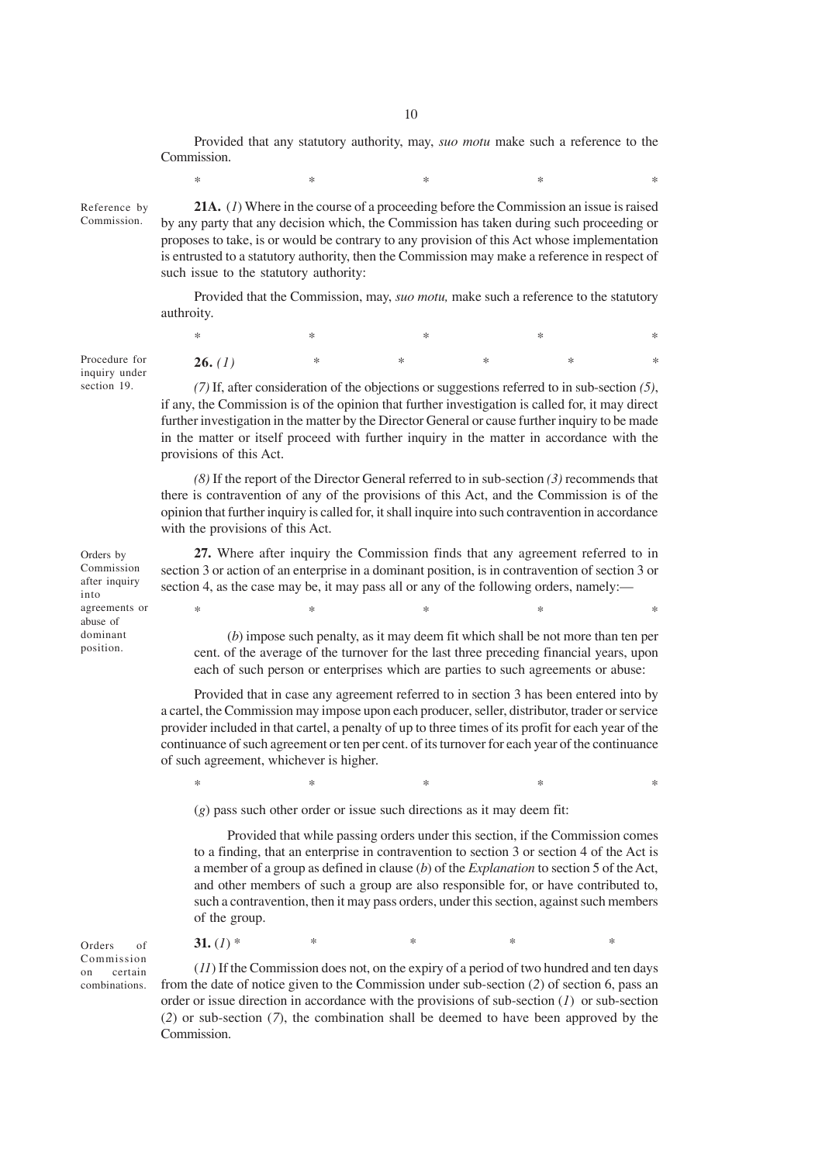Provided that any statutory authority, may, *suo motu* make such a reference to the Commission.

 $*$  \*  $*$  \*  $*$  \*  $*$  \*

Reference by Commission.

Procedure for inquiry under section 19.

**21A.** (*1*) Where in the course of a proceeding before the Commission an issue is raised by any party that any decision which, the Commission has taken during such proceeding or proposes to take, is or would be contrary to any provision of this Act whose implementation is entrusted to a statutory authority, then the Commission may make a reference in respect of such issue to the statutory authority:

Provided that the Commission, may, *suo motu,* make such a reference to the statutory authroity.

 $*$  \*  $*$  \*  $*$  \*  $*$  \* **26.** *(1) \* \* \* \* \**

*(7)* If, after consideration of the objections or suggestions referred to in sub-section *(5)*, if any, the Commission is of the opinion that further investigation is called for, it may direct further investigation in the matter by the Director General or cause further inquiry to be made in the matter or itself proceed with further inquiry in the matter in accordance with the provisions of this Act.

*(8)* If the report of the Director General referred to in sub-section *(3)* recommends that there is contravention of any of the provisions of this Act, and the Commission is of the opinion that further inquiry is called for, it shall inquire into such contravention in accordance with the provisions of this Act.

**27.** Where after inquiry the Commission finds that any agreement referred to in section 3 or action of an enterprise in a dominant position, is in contravention of section 3 or section 4, as the case may be, it may pass all or any of the following orders, namely:-

(*b*) impose such penalty, as it may deem fit which shall be not more than ten per cent. of the average of the turnover for the last three preceding financial years, upon each of such person or enterprises which are parties to such agreements or abuse:

 $*$  \*  $*$  \*  $*$  \*  $*$ 

Provided that in case any agreement referred to in section 3 has been entered into by a cartel, the Commission may impose upon each producer, seller, distributor, trader or service provider included in that cartel, a penalty of up to three times of its profit for each year of the continuance of such agreement or ten per cent. of its turnover for each year of the continuance of such agreement, whichever is higher.

 $*$  \*  $*$  \*  $*$  \*  $*$ 

(*g*) pass such other order or issue such directions as it may deem fit:

Provided that while passing orders under this section, if the Commission comes to a finding, that an enterprise in contravention to section 3 or section 4 of the Act is a member of a group as defined in clause (*b*) of the *Explanation* to section 5 of the Act, and other members of such a group are also responsible for, or have contributed to, such a contravention, then it may pass orders, under this section, against such members of the group.

Orders of Commission on certain combinations. **31.** (*l*) \* \* \* \* \* \*

(*11*) If the Commission does not, on the expiry of a period of two hundred and ten days from the date of notice given to the Commission under sub-section (*2*) of section 6, pass an order or issue direction in accordance with the provisions of sub-section (*1*) or sub-section (*2*) or sub-section (*7*), the combination shall be deemed to have been approved by the Commission.

10

after inquiry into agreements or abuse of dominant position.

Orders by Commission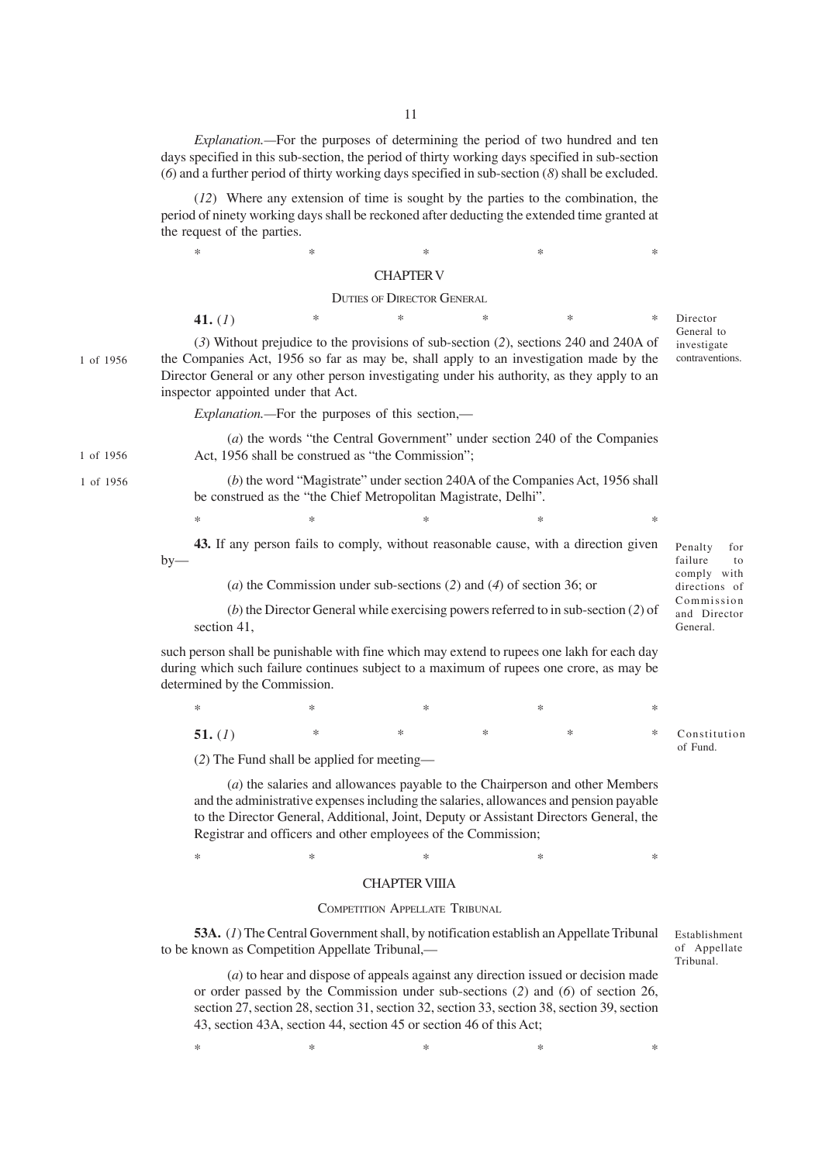*Explanation.—*For the purposes of determining the period of two hundred and ten days specified in this sub-section, the period of thirty working days specified in sub-section (*6*) and a further period of thirty working days specified in sub-section (*8*) shall be excluded.

(*12*) Where any extension of time is sought by the parties to the combination, the period of ninety working days shall be reckoned after deducting the extended time granted at the request of the parties.

#### CHAPTER V

#### DUTIES OF DIRECTOR GENERAL

**41.** (*1*) \* \* \* \* \*

 $*$  \*  $*$  \*  $*$  \*

(*3*) Without prejudice to the provisions of sub-section (*2*), sections 240 and 240A of 1 of 1956 the Companies Act, 1956 so far as may be, shall apply to an investigation made by the contraventions. Director General or any other person investigating under his authority, as they apply to an inspector appointed under that Act.

*Explanation.—*For the purposes of this section,—

(*a*) the words "the Central Government" under section 240 of the Companies Act, 1956 shall be construed as "the Commission";

(*b*) the word "Magistrate" under section 240A of the Companies Act, 1956 shall be construed as the "the Chief Metropolitan Magistrate, Delhi".

 $*$  \*  $*$  \*  $*$  \*  $*$  \*

**43.** If any person fails to comply, without reasonable cause, with a direction given by—

(*a*) the Commission under sub-sections (*2*) and (*4*) of section 36; or

(*b*) the Director General while exercising powers referred to in sub-section (*2*) of section 41,

such person shall be punishable with fine which may extend to rupees one lakh for each day during which such failure continues subject to a maximum of rupees one crore, as may be determined by the Commission.

| -*        |   |        |   |                                   |
|-----------|---|--------|---|-----------------------------------|
| 51. $(l)$ | × | $\ast$ | ∗ | * Constituti<br>$c \rightarrow 1$ |

(*2*) The Fund shall be applied for meeting—

(*a*) the salaries and allowances payable to the Chairperson and other Members and the administrative expenses including the salaries, allowances and pension payable to the Director General, Additional, Joint, Deputy or Assistant Directors General, the Registrar and officers and other employees of the Commission;

 $*$  \*  $*$  \*  $*$  \*  $*$  \*

## CHAPTER VIIIA

### COMPETITION APPELLATE TRIBUNAL

**53A.** (*1*) The Central Government shall, by notification establish an Appellate Tribunal to be known as Competition Appellate Tribunal,—

(*a*) to hear and dispose of appeals against any direction issued or decision made or order passed by the Commission under sub-sections (*2*) and (*6*) of section 26, section 27, section 28, section 31, section 32, section 33, section 38, section 39, section 43, section 43A, section 44, section 45 or section 46 of this Act;

 $*$  \*  $*$  \*  $*$  \*  $*$  \*

and Director General.

Penalty for failure to comply with directions of Commission

Director General to investigate

ion of Fund.

Establishment of Appellate Tribunal.

1 of 1956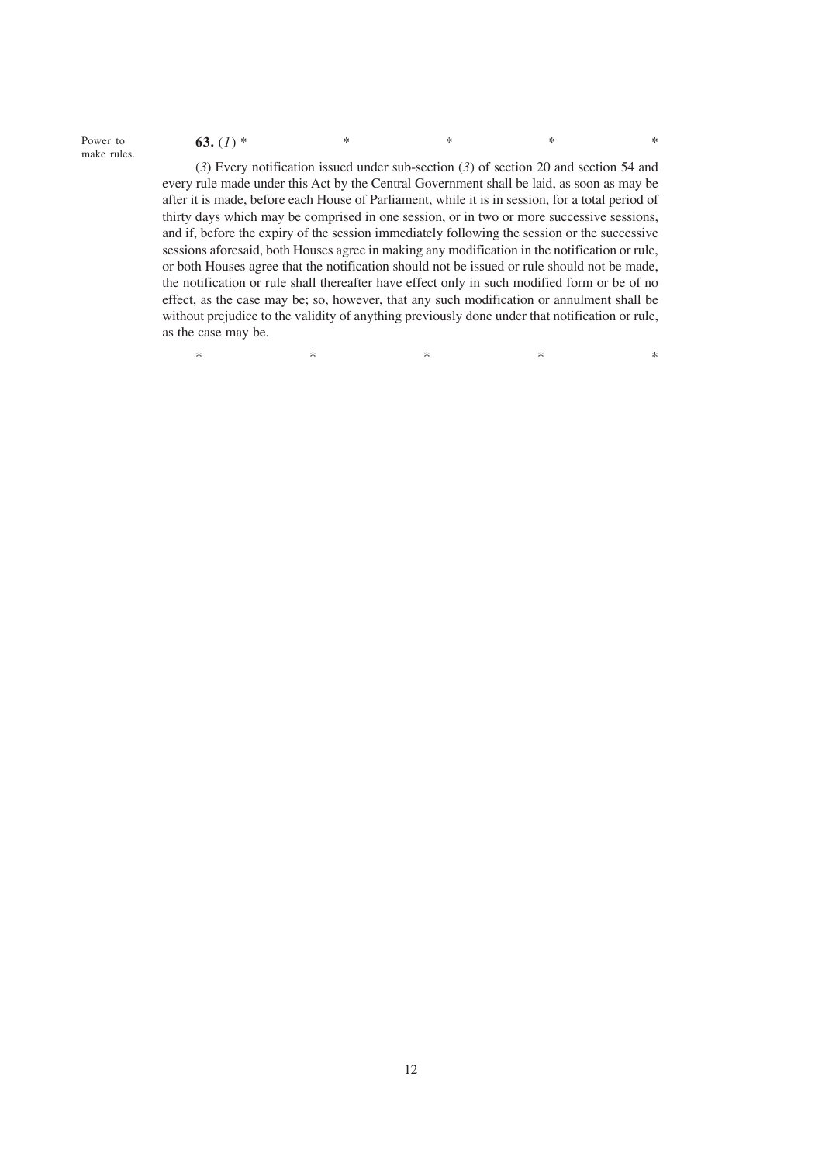Power to make rules. **63.** (*1*) \* \* \* \* \* \* \*

(*3*) Every notification issued under sub-section (*3*) of section 20 and section 54 and every rule made under this Act by the Central Government shall be laid, as soon as may be after it is made, before each House of Parliament, while it is in session, for a total period of thirty days which may be comprised in one session, or in two or more successive sessions, and if, before the expiry of the session immediately following the session or the successive sessions aforesaid, both Houses agree in making any modification in the notification or rule, or both Houses agree that the notification should not be issued or rule should not be made, the notification or rule shall thereafter have effect only in such modified form or be of no effect, as the case may be; so, however, that any such modification or annulment shall be without prejudice to the validity of anything previously done under that notification or rule, as the case may be.

 $*$  \*  $*$  \*  $*$  \*  $*$  \*